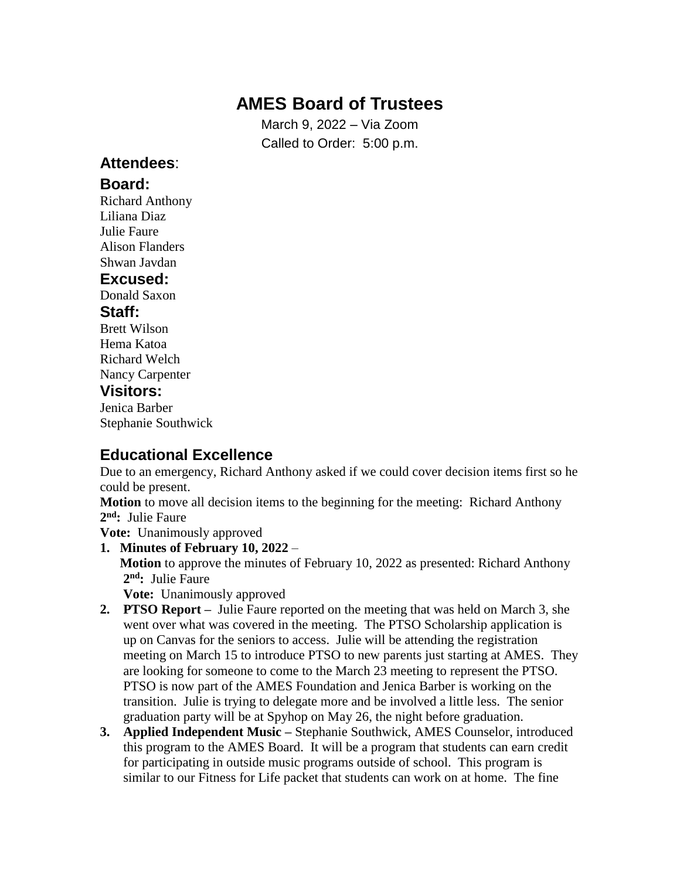## **AMES Board of Trustees**

March 9, 2022 – Via Zoom Called to Order: 5:00 p.m.

## **Attendees**:

### **Board:**

Richard Anthony Liliana Diaz Julie Faure Alison Flanders Shwan Javdan

## **Excused:**

Donald Saxon

### **Staff:**

Brett Wilson Hema Katoa Richard Welch Nancy Carpenter

### **Visitors:**

Jenica Barber Stephanie Southwick

## **Educational Excellence**

Due to an emergency, Richard Anthony asked if we could cover decision items first so he could be present.

**Motion** to move all decision items to the beginning for the meeting: Richard Anthony **2 nd :** Julie Faure

**Vote:** Unanimously approved

#### **1. Minutes of February 10, 2022** – **Motion** to approve the minutes of February 10, 2022 as presented: Richard Anthony **2 nd:** Julie Faure **Vote:** Unanimously approved

- **2. PTSO Report –** Julie Faure reported on the meeting that was held on March 3, she went over what was covered in the meeting. The PTSO Scholarship application is up on Canvas for the seniors to access. Julie will be attending the registration meeting on March 15 to introduce PTSO to new parents just starting at AMES. They are looking for someone to come to the March 23 meeting to represent the PTSO. PTSO is now part of the AMES Foundation and Jenica Barber is working on the transition. Julie is trying to delegate more and be involved a little less. The senior graduation party will be at Spyhop on May 26, the night before graduation.
- **3. Applied Independent Music –** Stephanie Southwick, AMES Counselor, introduced this program to the AMES Board. It will be a program that students can earn credit for participating in outside music programs outside of school. This program is similar to our Fitness for Life packet that students can work on at home. The fine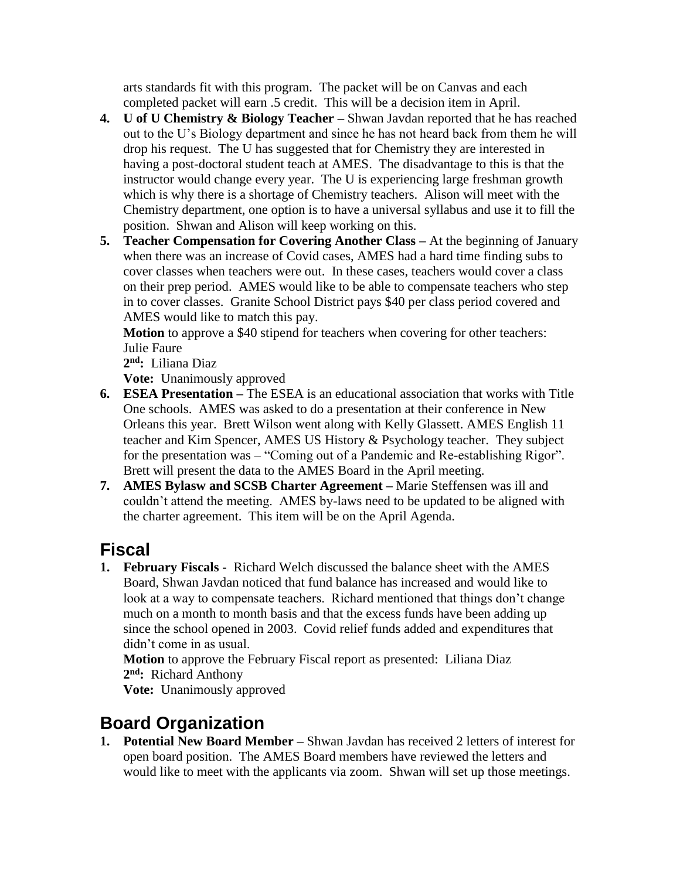arts standards fit with this program. The packet will be on Canvas and each completed packet will earn .5 credit. This will be a decision item in April.

- **4. U of U Chemistry & Biology Teacher –** Shwan Javdan reported that he has reached out to the U's Biology department and since he has not heard back from them he will drop his request. The U has suggested that for Chemistry they are interested in having a post-doctoral student teach at AMES. The disadvantage to this is that the instructor would change every year. The U is experiencing large freshman growth which is why there is a shortage of Chemistry teachers. Alison will meet with the Chemistry department, one option is to have a universal syllabus and use it to fill the position. Shwan and Alison will keep working on this.
- **5. Teacher Compensation for Covering Another Class –** At the beginning of January when there was an increase of Covid cases, AMES had a hard time finding subs to cover classes when teachers were out. In these cases, teachers would cover a class on their prep period. AMES would like to be able to compensate teachers who step in to cover classes. Granite School District pays \$40 per class period covered and AMES would like to match this pay.

**Motion** to approve a \$40 stipend for teachers when covering for other teachers: Julie Faure

**2 nd:** Liliana Diaz

 **Vote:** Unanimously approved

- **6. ESEA Presentation –** The ESEA is an educational association that works with Title One schools. AMES was asked to do a presentation at their conference in New Orleans this year. Brett Wilson went along with Kelly Glassett. AMES English 11 teacher and Kim Spencer, AMES US History & Psychology teacher. They subject for the presentation was – "Coming out of a Pandemic and Re-establishing Rigor". Brett will present the data to the AMES Board in the April meeting.
- **7. AMES Bylasw and SCSB Charter Agreement –** Marie Steffensen was ill and couldn't attend the meeting. AMES by-laws need to be updated to be aligned with the charter agreement. This item will be on the April Agenda.

# **Fiscal**

**1. February Fiscals -** Richard Welch discussed the balance sheet with the AMES Board, Shwan Javdan noticed that fund balance has increased and would like to look at a way to compensate teachers. Richard mentioned that things don't change much on a month to month basis and that the excess funds have been adding up since the school opened in 2003. Covid relief funds added and expenditures that didn't come in as usual.

 **Motion** to approve the February Fiscal report as presented: Liliana Diaz **2 nd:** Richard Anthony

**Vote:** Unanimously approved

# **Board Organization**

**1. Potential New Board Member –** Shwan Javdan has received 2 letters of interest for open board position. The AMES Board members have reviewed the letters and would like to meet with the applicants via zoom. Shwan will set up those meetings.